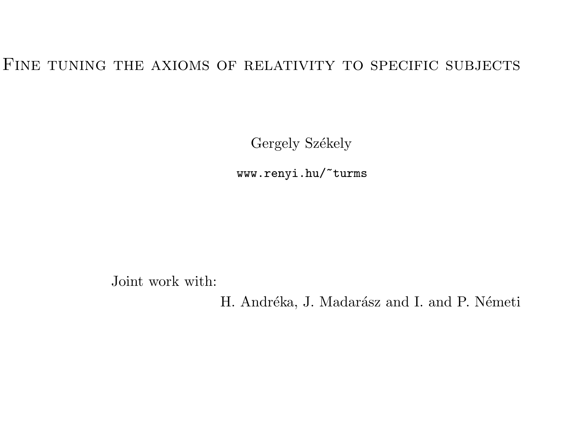### FINE TUNING THE AXIOMS OF RELATIVITY TO SPECIFIC SUBJECTS

Gergely Székely

www.renyi.hu/~turms

Joint work with:

H. Andréka, J. Madarász and I. and P. Németi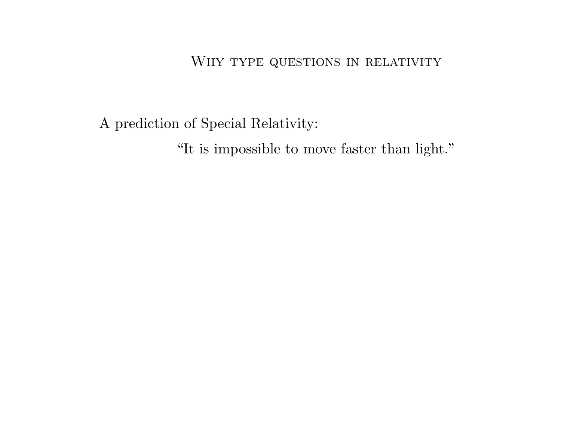<sup>A</sup> prediction of Special Relativity:

"It is impossible to move faster than light."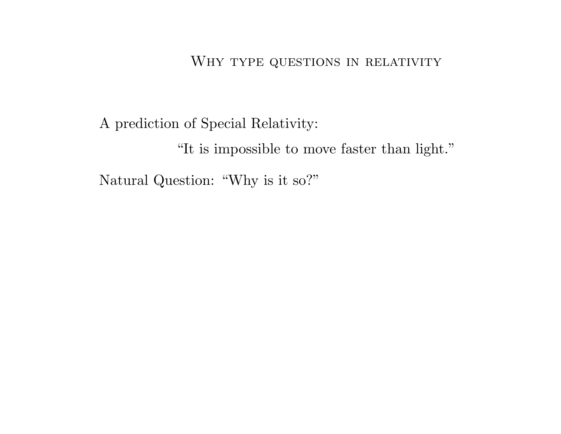<sup>A</sup> prediction of Special Relativity:

"It is impossible to move faster than light."

Natural Question: "Why is it so?"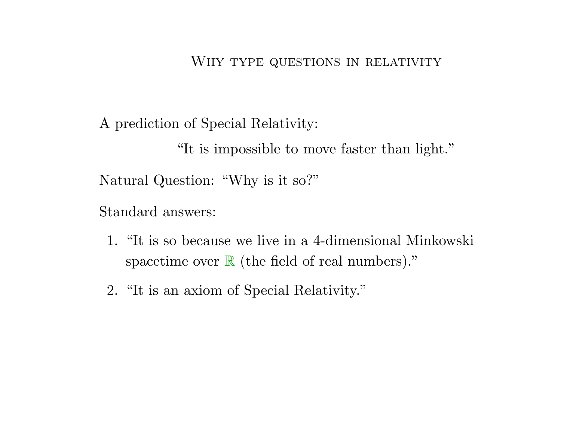<sup>A</sup> prediction of Special Relativity:

"It is impossible to move faster than light."Natural Question: "Why is it so?"

Standard answers:

- 1. "It is so because we live in <sup>a</sup> 4-dimensional Minkowski spacetime over  $\mathbb R$  (the field of real numbers)."
- 2. "It is an axiom of Special Relativity."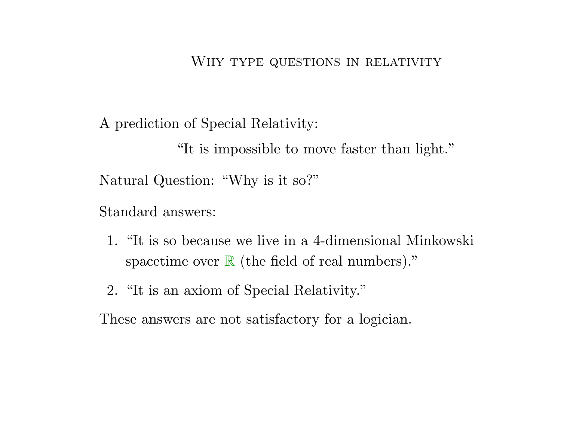<sup>A</sup> prediction of Special Relativity:

"It is impossible to move faster than light."Natural Question: "Why is it so?"

Standard answers:

- 1. "It is so because we live in <sup>a</sup> 4-dimensional Minkowski spacetime over  $\mathbb R$  (the field of real numbers)."
- 2. "It is an axiom of Special Relativity."

These answers are not satisfactory for <sup>a</sup> logician.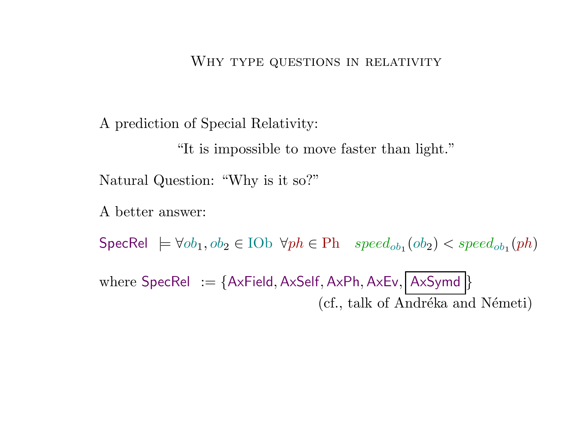<sup>A</sup> prediction of Special Relativity:

"It is impossible to move faster than light."

Natural Question: "Why is it so?"

<sup>A</sup> better answer:

SpecRel  $\models \forall ob_1, ob_2 \in \mathrm{IOb} \ \forall ph \in \mathrm{Ph} \ \ speed_{ob_1}(ob_2) < speed_{ob_1}(ph)$ 

 $\text{where } \mathsf{SpecRel} \ := \{\mathsf{AxField}, \mathsf{AxSelf}, \mathsf{AxPh}, \mathsf{AxEv}, \allowbreak |\allowbreak \mathsf{AxSymd}\,\}$ (cf., talk of Andréka and Németi)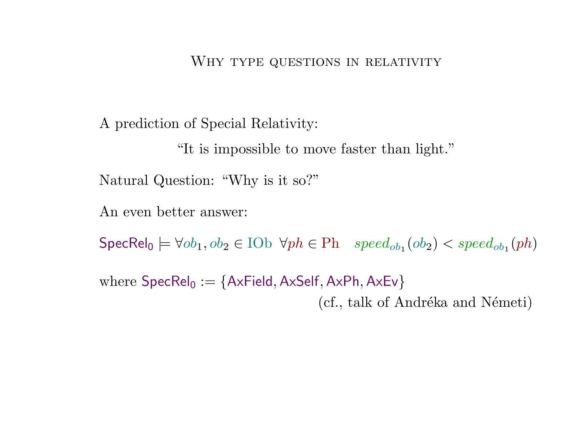<sup>A</sup> prediction of Special Relativity:

"It is impossible to move faster than light."

Natural Question: "Why is it so?"

An even better answer:

 $\mathsf{SpecRel}_0 \models \forall ob_1, ob_2 \in \mathrm{IOb} \ \ \forall ph \in \mathrm{Ph} \quad speed_{ob_1}(ob_2) < speed_{ob_1}(ph)$ 

where  $\mathsf{SpecRel}_0 := \{\mathsf{AxField}, \mathsf{AxSelf}, \mathsf{AxPh}, \mathsf{AxEv}\}$ (cf., talk of Andréka and Németi)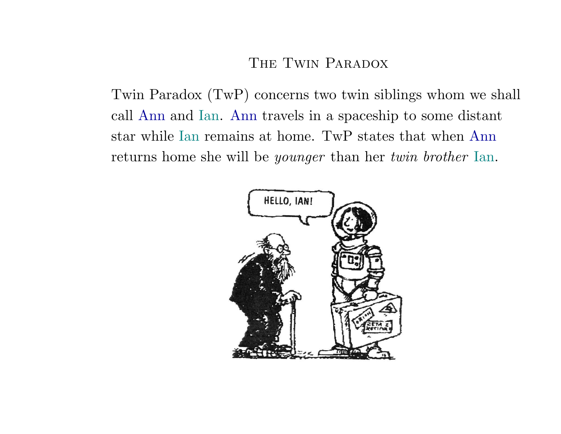### THE TWIN PARADOX

Twin Paradox (TwP) concerns two twin siblings whom we shall call Ann and Ian. Ann travels in <sup>a</sup> spaceship to some distant star while Ian remains at home. TwP states that when Ann returns home she will be *younger* than her *twin brother* Ian.

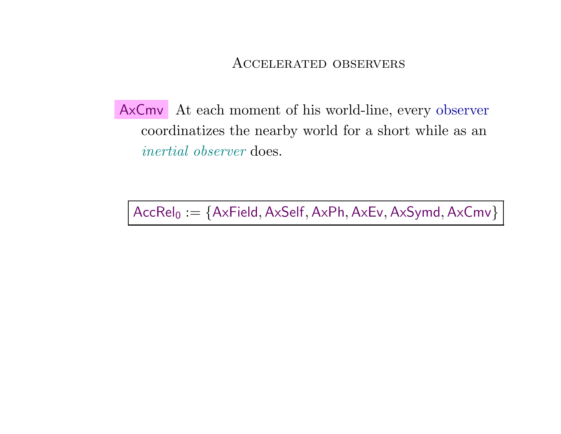AxCmv At each moment of his world-line, every observer coordinatizes the nearby world for <sup>a</sup> short while as an $\emph{inertial observer}$  does.

 $\mathsf{AccRel}_0 := \{\mathsf{AxField}, \mathsf{AxSelf}, \mathsf{AxPh}, \mathsf{AxEv}, \mathsf{AxSymd}, \mathsf{AxCmv}\}$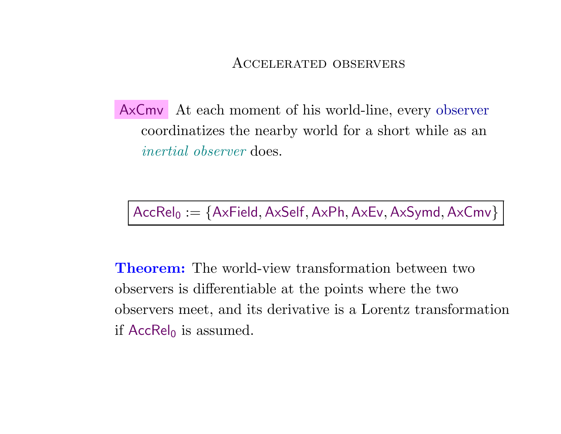AxCmv At each moment of his world-line, every observer coordinatizes the nearby world for <sup>a</sup> short while as an $\emph{inertial observer}$  does.

 $\mathsf{AccRel}_0 := \{\mathsf{AxField}, \mathsf{AxSelf}, \mathsf{AxPh}, \mathsf{AxEv}, \mathsf{AxSymd}, \mathsf{AxCmv}\}$ 

Theorem: The world-view transformation between two observers is differentiable at the points where the twoobservers meet, and its derivative is <sup>a</sup> Lorentz transformationif  $\mathsf{AccRel}_0$  is assumed.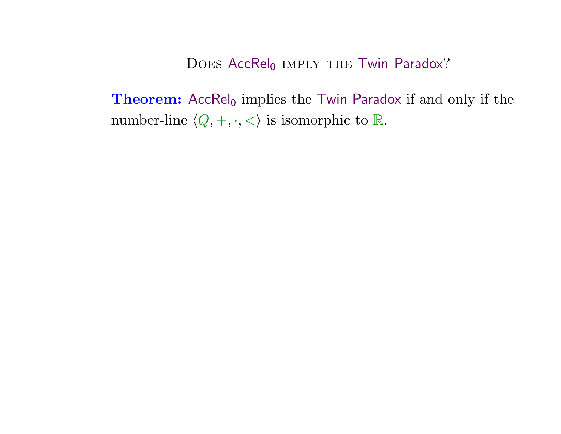$\bf Theorem:$  Acc ${\sf Rel}_0$  implies the Twin Paradox if and only if the number-line  $\langle Q, +, \cdot, < \rangle$  is isomorphic to  $\mathbb R$ .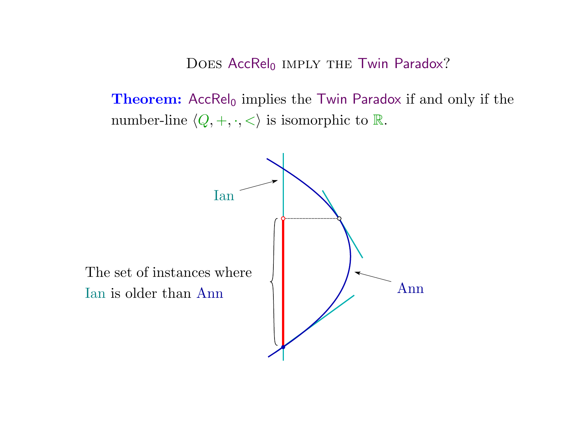$\bf Theorem:$  Acc ${\sf Rel}_0$  implies the Twin Paradox if and only if the number-line  $\langle Q, +, \cdot, < \rangle$  is isomorphic to  $\mathbb R$ .

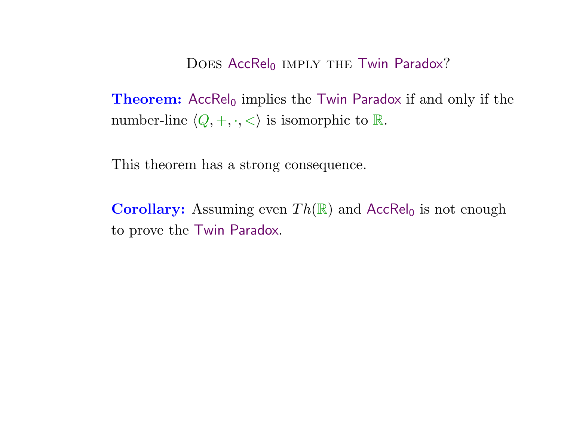$\bf Theorem:$  Acc ${\sf Rel}_0$  implies the Twin Paradox if and only if the number-line  $\langle Q, +, \cdot, < \rangle$  is isomorphic to  $\mathbb R$ .

This theorem has <sup>a</sup> strong consequence.

**Corollary:** Assuming even  $Th(\mathbb{R})$  and  $AccRel_0$  is not enough to prove the Twin Paradox.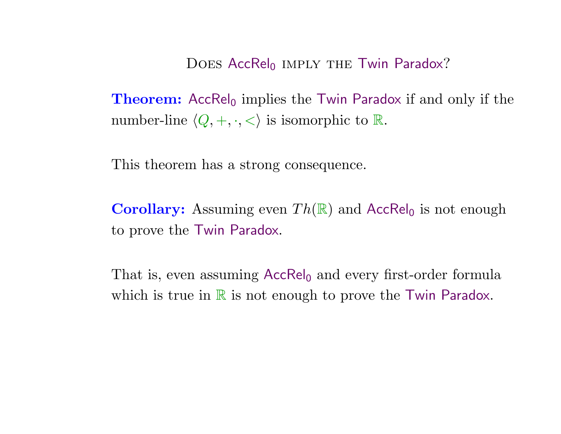$\bf Theorem:$  Acc ${\sf Rel}_0$  implies the Twin Paradox if and only if the number-line  $\langle Q, +, \cdot, < \rangle$  is isomorphic to  $\mathbb R$ .

This theorem has <sup>a</sup> strong consequence.

**Corollary:** Assuming even  $Th(\mathbb{R})$  and  $AccRel_0$  is not enough to prove the Twin Paradox.

That is, even assuming  $\mathsf{AccRel}_0$  and every first-order formula which is true in  $\mathbb R$  is not enough to prove the Twin Paradox.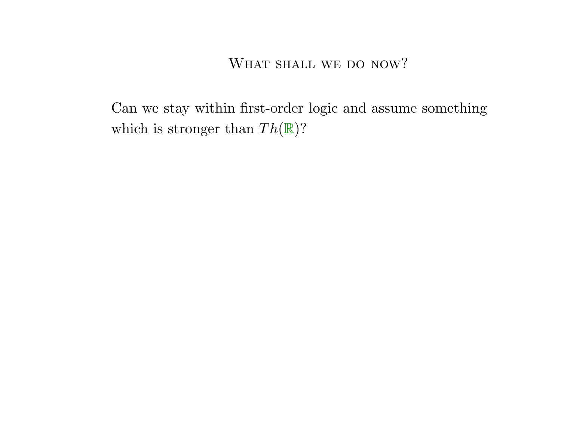Can we stay within first-order logic and assume somethingwhich is stronger than  $Th(\mathbb{R})$ ?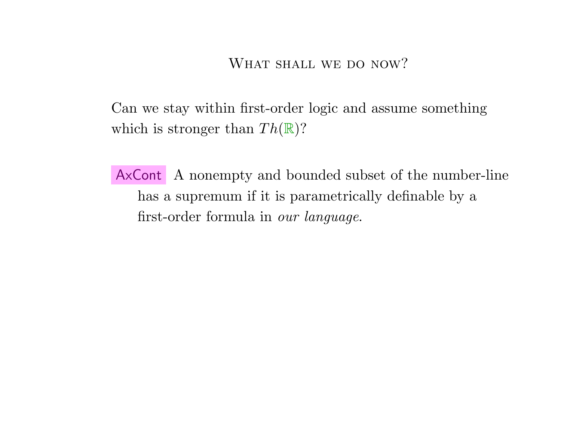Can we stay within first-order logic and assume somethingwhich is stronger than  $Th(\mathbb{R})$ ?

AxCont A nonempty and bounded subset of the number-line has <sup>a</sup> supremum if it is parametrically definable by <sup>a</sup>first-order formula in *our language*.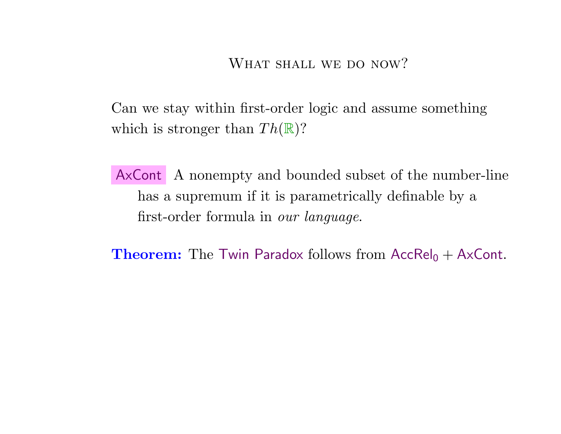Can we stay within first-order logic and assume somethingwhich is stronger than  $Th(\mathbb{R})$ ?

AxCont A nonempty and bounded subset of the number-line has <sup>a</sup> supremum if it is parametrically definable by <sup>a</sup>first-order formula in *our language*.

**Theorem:** The Twin Paradox follows from  $AccRel_0 + AxCont$ .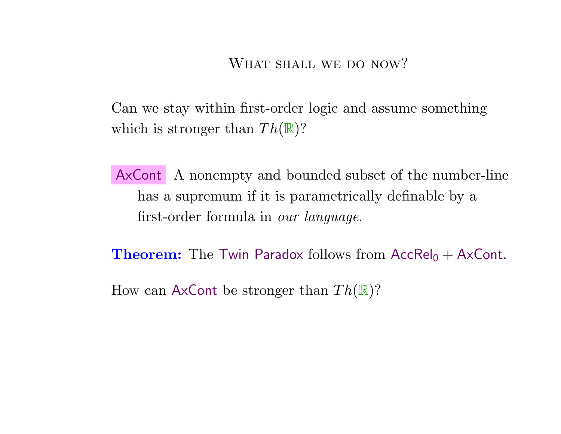Can we stay within first-order logic and assume somethingwhich is stronger than  $Th(\mathbb{R})$ ?

AxCont A nonempty and bounded subset of the number-line has <sup>a</sup> supremum if it is parametrically definable by <sup>a</sup>first-order formula in *our language*.

**Theorem:** The Twin Paradox follows from  $AccRel_0 + AxCont$ .

How can  $\mathsf{AxCont}$  be stronger than  $Th(\mathbb{R})$ ?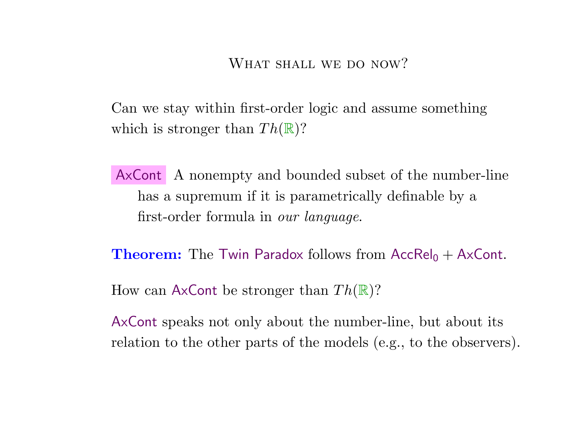Can we stay within first-order logic and assume somethingwhich is stronger than  $Th(\mathbb{R})$ ?

AxCont A nonempty and bounded subset of the number-line has <sup>a</sup> supremum if it is parametrically definable by <sup>a</sup>first-order formula in *our language*.

**Theorem:** The Twin Paradox follows from  $AccRel_0 + AxCont$ .

How can  $\mathsf{AxCont}$  be stronger than  $Th(\mathbb{R})$ ?

AxCont speaks not only about the number-line, but about itsrelation to the other parts of the models (e.g., to the observers).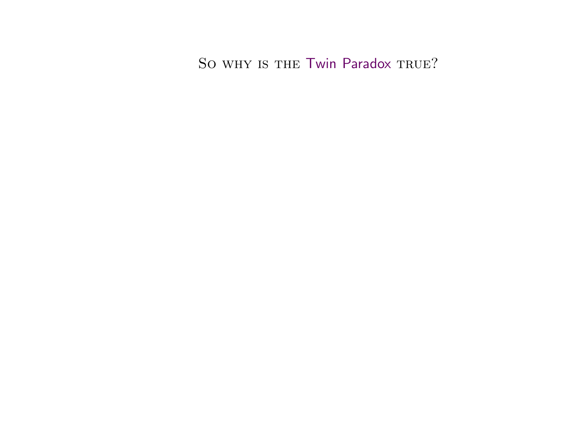So why is the Twin Paradox true?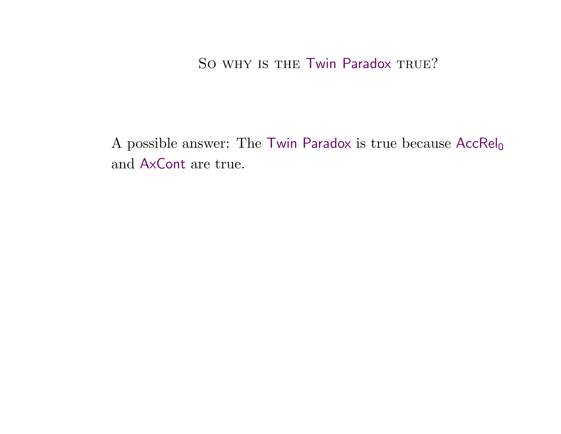## So why is the Twin Paradox true?

A possible answer: The Twin Paradox is true because  $\mathsf{AccRel}_0$ and AxCont are true.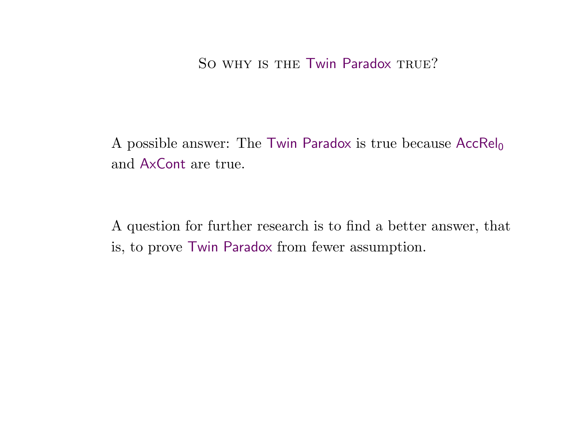## So why is the Twin Paradox true?

A possible answer: The Twin Paradox is true because  $\mathsf{AccRel}_0$ and AxCont are true.

<sup>A</sup> question for further research is to find <sup>a</sup> better answer, thatis, to prove Twin Paradox from fewer assumption.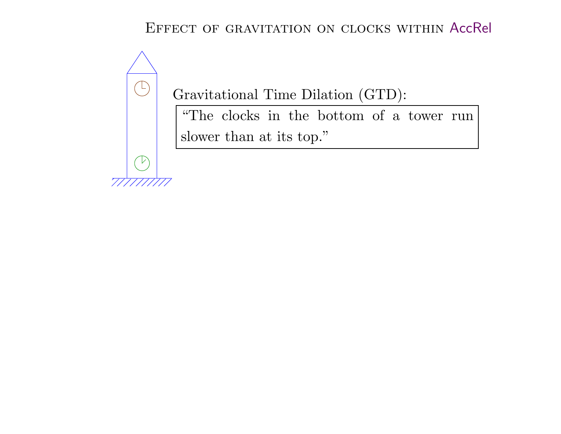# Effect of gravitation on clocks within AccRel



Gravitational Time Dilation (GTD):

"The clocks in the bottom of <sup>a</sup> tower runslower than at its top."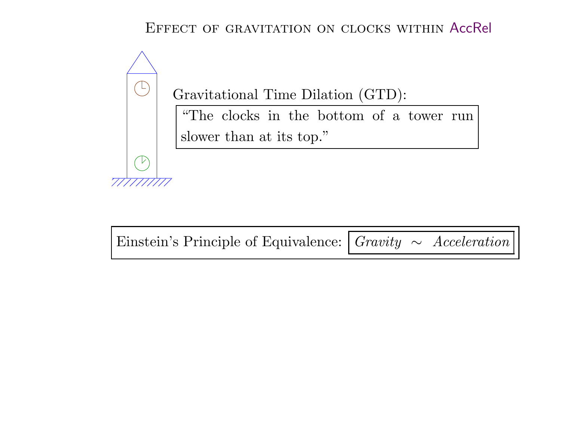# Effect of gravitation on clocks within AccRel



Gravitational Time Dilation (GTD):

"The clocks in the bottom of <sup>a</sup> tower runslower than at its top."

Einstein's Principle of Equivalence:  $\boxed{Gravity \sim Acceleration}$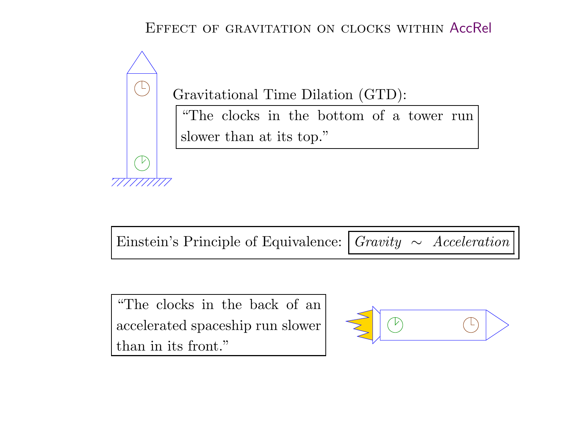# Effect of gravitation on clocks within AccRel



Gravitational Time Dilation (GTD):

"The clocks in the bottom of <sup>a</sup> tower runslower than at its top."

Einstein's Principle of Equivalence:  $\boxed{Gravity \sim Acceleration}$ 

"The clocks in the back of an accelerated spaceship run slowerthan in its front."

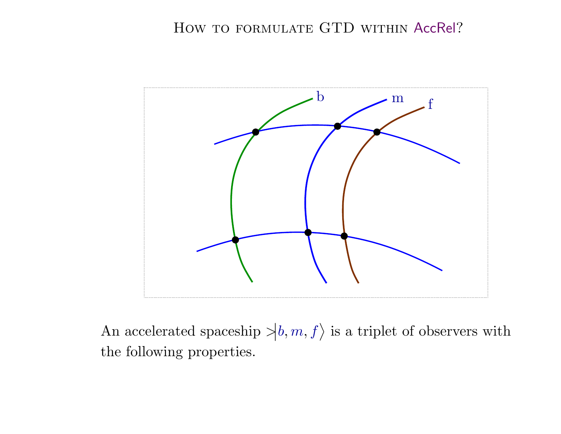

An accelerated spaceship  $\ket{b,m,f}$  is a triplet of observers with the following properties.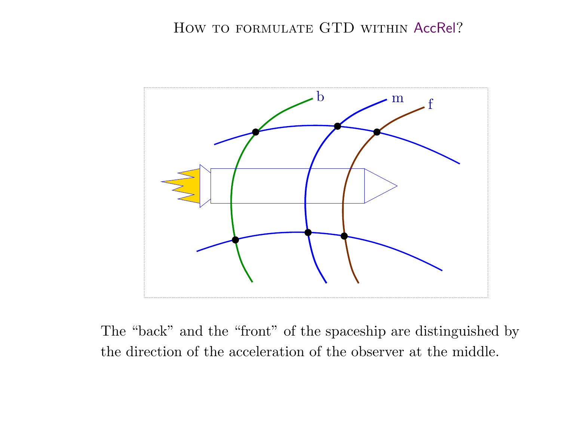## How to formulate GTD within AccRel?



The "back" and the "front" of the spaceship are distinguished bythe direction of the acceleration of the observer at the middle.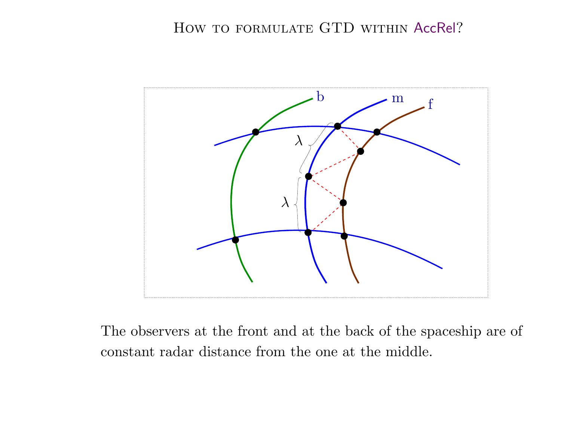# How to formulate GTD within AccRel?



The observers at the front and at the back of the spaceship are of constant radar distance from the one at the middle.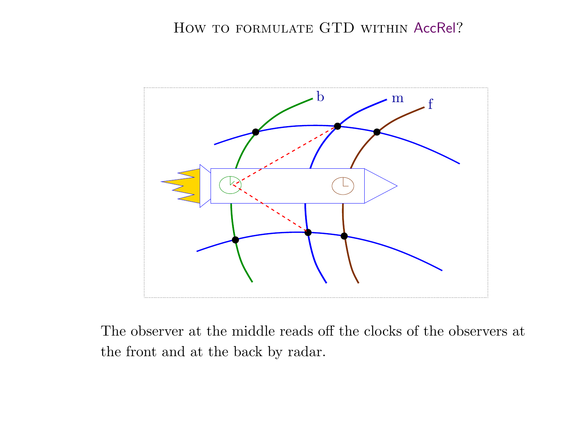# How to formulate GTD within AccRel?



The observer at the middle reads off the clocks of the observers atthe front and at the back by radar.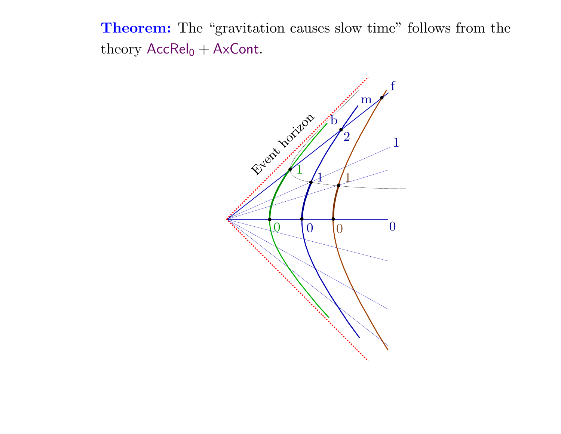**Theorem:** The "gravitation causes slow time" follows from the theory  $\mathsf{AccRel}_0 + \mathsf{AxCont}.$